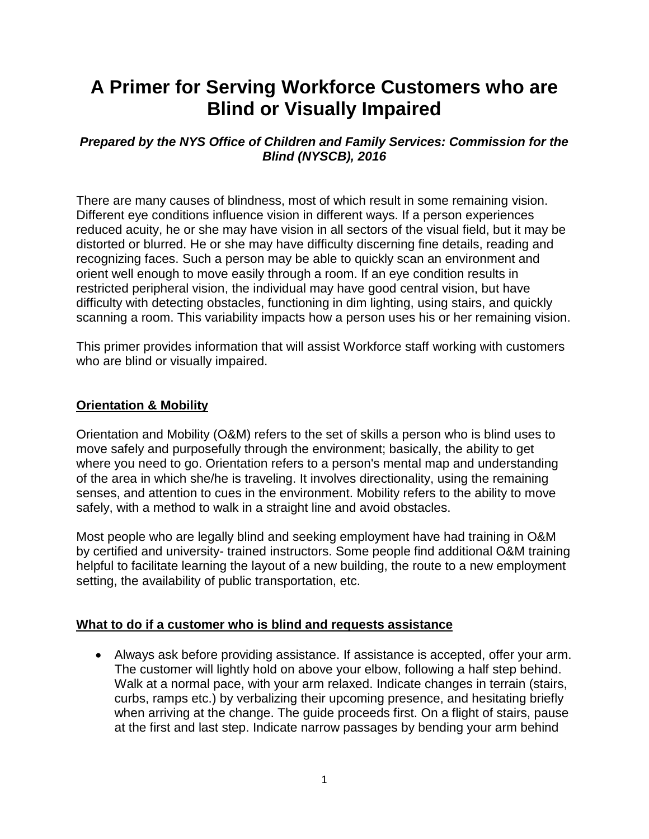# **A Primer for Serving Workforce Customers who are Blind or Visually Impaired**

## *Prepared by the NYS Office of Children and Family Services: Commission for the Blind (NYSCB), 2016*

There are many causes of blindness, most of which result in some remaining vision. Different eye conditions influence vision in different ways. If a person experiences reduced acuity, he or she may have vision in all sectors of the visual field, but it may be distorted or blurred. He or she may have difficulty discerning fine details, reading and recognizing faces. Such a person may be able to quickly scan an environment and orient well enough to move easily through a room. If an eye condition results in restricted peripheral vision, the individual may have good central vision, but have difficulty with detecting obstacles, functioning in dim lighting, using stairs, and quickly scanning a room. This variability impacts how a person uses his or her remaining vision.

This primer provides information that will assist Workforce staff working with customers who are blind or visually impaired.

## **Orientation & Mobility**

Orientation and Mobility (O&M) refers to the set of skills a person who is blind uses to move safely and purposefully through the environment; basically, the ability to get where you need to go. Orientation refers to a person's mental map and understanding of the area in which she/he is traveling. It involves directionality, using the remaining senses, and attention to cues in the environment. Mobility refers to the ability to move safely, with a method to walk in a straight line and avoid obstacles.

Most people who are legally blind and seeking employment have had training in O&M by certified and university- trained instructors. Some people find additional O&M training helpful to facilitate learning the layout of a new building, the route to a new employment setting, the availability of public transportation, etc.

#### **What to do if a customer who is blind and requests assistance**

 Always ask before providing assistance. If assistance is accepted, offer your arm. The customer will lightly hold on above your elbow, following a half step behind. Walk at a normal pace, with your arm relaxed. Indicate changes in terrain (stairs, curbs, ramps etc.) by verbalizing their upcoming presence, and hesitating briefly when arriving at the change. The guide proceeds first. On a flight of stairs, pause at the first and last step. Indicate narrow passages by bending your arm behind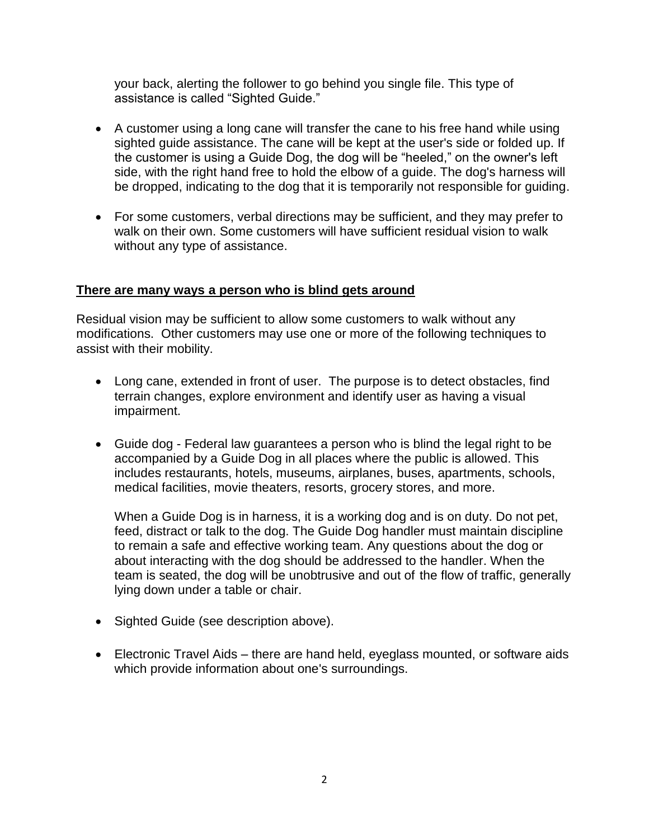your back, alerting the follower to go behind you single file. This type of assistance is called "Sighted Guide."

- A customer using a long cane will transfer the cane to his free hand while using sighted guide assistance. The cane will be kept at the user's side or folded up. If the customer is using a Guide Dog, the dog will be "heeled," on the owner's left side, with the right hand free to hold the elbow of a guide. The dog's harness will be dropped, indicating to the dog that it is temporarily not responsible for guiding.
- For some customers, verbal directions may be sufficient, and they may prefer to walk on their own. Some customers will have sufficient residual vision to walk without any type of assistance.

#### **There are many ways a person who is blind gets around**

Residual vision may be sufficient to allow some customers to walk without any modifications. Other customers may use one or more of the following techniques to assist with their mobility.

- Long cane, extended in front of user. The purpose is to detect obstacles, find terrain changes, explore environment and identify user as having a visual impairment.
- Guide dog Federal law guarantees a person who is blind the legal right to be accompanied by a Guide Dog in all places where the public is allowed. This includes restaurants, hotels, museums, airplanes, buses, apartments, schools, medical facilities, movie theaters, resorts, grocery stores, and more.

When a Guide Dog is in harness, it is a working dog and is on duty. Do not pet, feed, distract or talk to the dog. The Guide Dog handler must maintain discipline to remain a safe and effective working team. Any questions about the dog or about interacting with the dog should be addressed to the handler. When the team is seated, the dog will be unobtrusive and out of the flow of traffic, generally lying down under a table or chair.

- Sighted Guide (see description above).
- Electronic Travel Aids there are hand held, eyeglass mounted, or software aids which provide information about one's surroundings.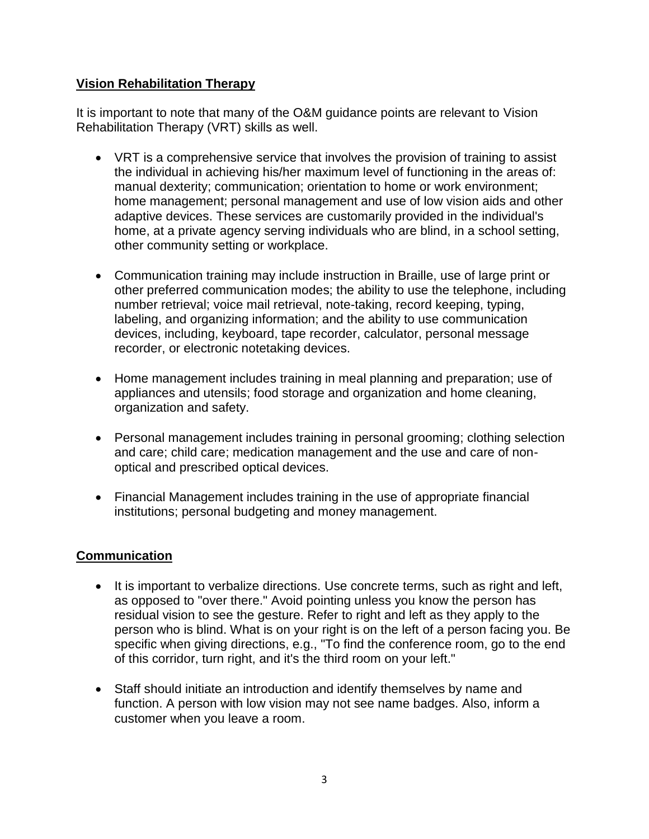## **Vision Rehabilitation Therapy**

It is important to note that many of the O&M guidance points are relevant to Vision Rehabilitation Therapy (VRT) skills as well.

- VRT is a comprehensive service that involves the provision of training to assist the individual in achieving his/her maximum level of functioning in the areas of: manual dexterity; communication; orientation to home or work environment; home management; personal management and use of low vision aids and other adaptive devices. These services are customarily provided in the individual's home, at a private agency serving individuals who are blind, in a school setting, other community setting or workplace.
- Communication training may include instruction in Braille, use of large print or other preferred communication modes; the ability to use the telephone, including number retrieval; voice mail retrieval, note-taking, record keeping, typing, labeling, and organizing information; and the ability to use communication devices, including, keyboard, tape recorder, calculator, personal message recorder, or electronic notetaking devices.
- Home management includes training in meal planning and preparation; use of appliances and utensils; food storage and organization and home cleaning, organization and safety.
- Personal management includes training in personal grooming; clothing selection and care; child care; medication management and the use and care of nonoptical and prescribed optical devices.
- Financial Management includes training in the use of appropriate financial institutions; personal budgeting and money management.

## **Communication**

- It is important to verbalize directions. Use concrete terms, such as right and left, as opposed to "over there." Avoid pointing unless you know the person has residual vision to see the gesture. Refer to right and left as they apply to the person who is blind. What is on your right is on the left of a person facing you. Be specific when giving directions, e.g., "To find the conference room, go to the end of this corridor, turn right, and it's the third room on your left."
- Staff should initiate an introduction and identify themselves by name and function. A person with low vision may not see name badges. Also, inform a customer when you leave a room.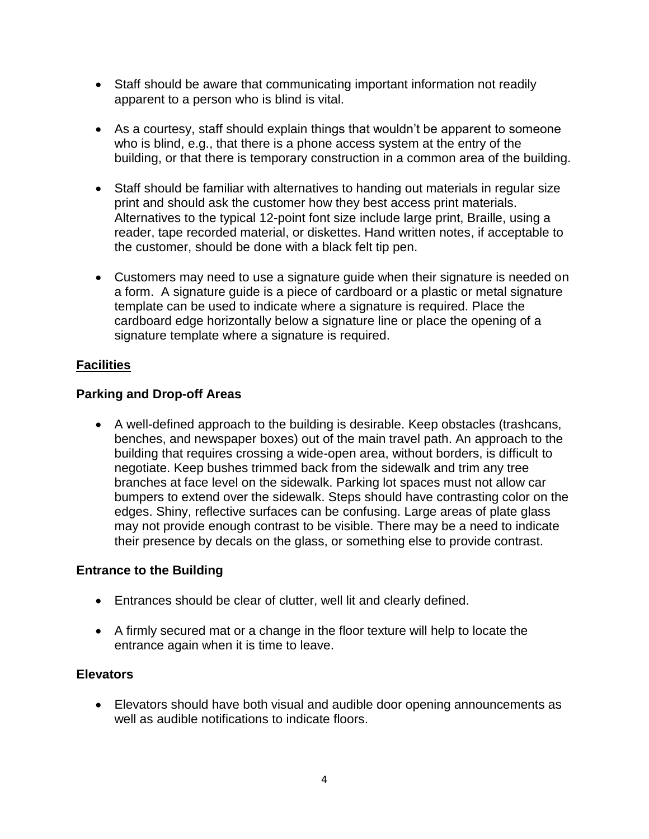- Staff should be aware that communicating important information not readily apparent to a person who is blind is vital.
- As a courtesy, staff should explain things that wouldn't be apparent to someone who is blind, e.g., that there is a phone access system at the entry of the building, or that there is temporary construction in a common area of the building.
- Staff should be familiar with alternatives to handing out materials in regular size print and should ask the customer how they best access print materials. Alternatives to the typical 12-point font size include large print, Braille, using a reader, tape recorded material, or diskettes. Hand written notes, if acceptable to the customer, should be done with a black felt tip pen.
- Customers may need to use a signature guide when their signature is needed on a form. A signature guide is a piece of cardboard or a plastic or metal signature template can be used to indicate where a signature is required. Place the cardboard edge horizontally below a signature line or place the opening of a signature template where a signature is required.

## **Facilities**

## **Parking and Drop-off Areas**

 A well-defined approach to the building is desirable. Keep obstacles (trashcans, benches, and newspaper boxes) out of the main travel path. An approach to the building that requires crossing a wide-open area, without borders, is difficult to negotiate. Keep bushes trimmed back from the sidewalk and trim any tree branches at face level on the sidewalk. Parking lot spaces must not allow car bumpers to extend over the sidewalk. Steps should have contrasting color on the edges. Shiny, reflective surfaces can be confusing. Large areas of plate glass may not provide enough contrast to be visible. There may be a need to indicate their presence by decals on the glass, or something else to provide contrast.

## **Entrance to the Building**

- Entrances should be clear of clutter, well lit and clearly defined.
- A firmly secured mat or a change in the floor texture will help to locate the entrance again when it is time to leave.

## **Elevators**

 Elevators should have both visual and audible door opening announcements as well as audible notifications to indicate floors.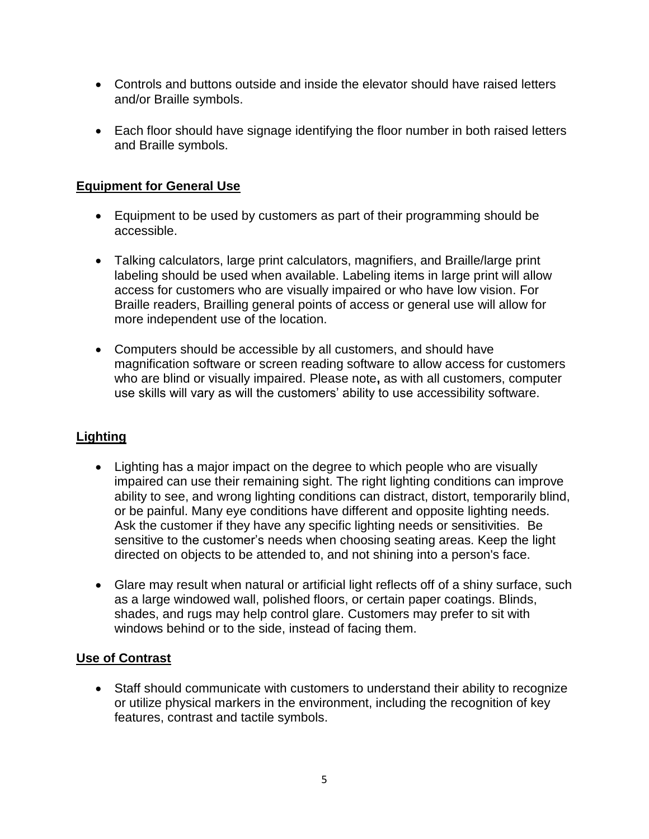- Controls and buttons outside and inside the elevator should have raised letters and/or Braille symbols.
- Each floor should have signage identifying the floor number in both raised letters and Braille symbols.

## **Equipment for General Use**

- Equipment to be used by customers as part of their programming should be accessible.
- Talking calculators, large print calculators, magnifiers, and Braille/large print labeling should be used when available. Labeling items in large print will allow access for customers who are visually impaired or who have low vision. For Braille readers, Brailling general points of access or general use will allow for more independent use of the location.
- Computers should be accessible by all customers, and should have magnification software or screen reading software to allow access for customers who are blind or visually impaired. Please note**,** as with all customers, computer use skills will vary as will the customers' ability to use accessibility software.

# **Lighting**

- Lighting has a major impact on the degree to which people who are visually impaired can use their remaining sight. The right lighting conditions can improve ability to see, and wrong lighting conditions can distract, distort, temporarily blind, or be painful. Many eye conditions have different and opposite lighting needs. Ask the customer if they have any specific lighting needs or sensitivities. Be sensitive to the customer's needs when choosing seating areas. Keep the light directed on objects to be attended to, and not shining into a person's face.
- Glare may result when natural or artificial light reflects off of a shiny surface, such as a large windowed wall, polished floors, or certain paper coatings. Blinds, shades, and rugs may help control glare. Customers may prefer to sit with windows behind or to the side, instead of facing them.

## **Use of Contrast**

 Staff should communicate with customers to understand their ability to recognize or utilize physical markers in the environment, including the recognition of key features, contrast and tactile symbols.